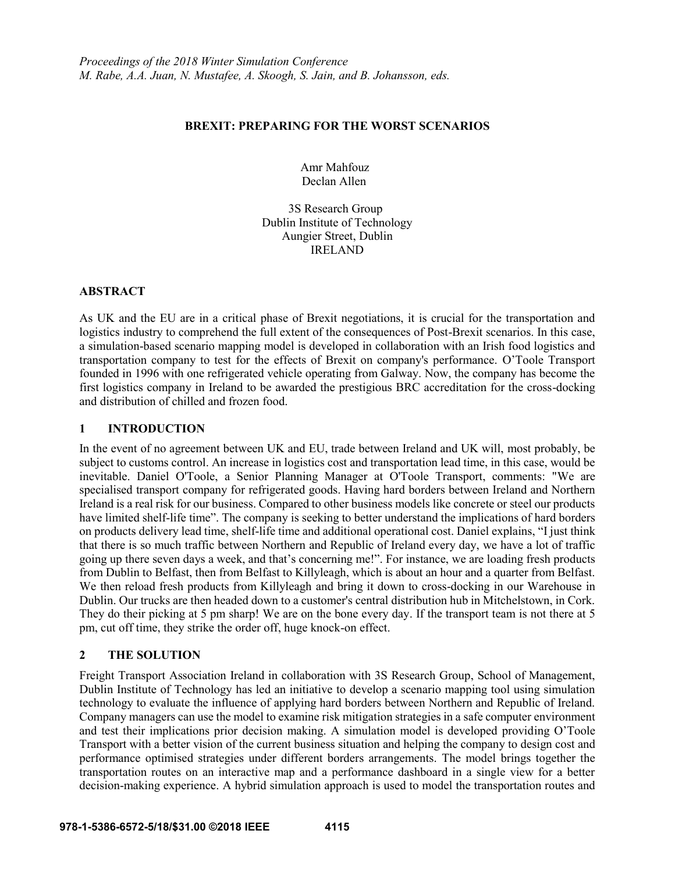### **BREXIT: PREPARING FOR THE WORST SCENARIOS**

 Amr Mahfouz Declan Allen

 3S Research Group Dublin Institute of Technology Aungier Street, Dublin IRELAND

## **ABSTRACT**

As UK and the EU are in a critical phase of Brexit negotiations, it is crucial for the transportation and logistics industry to comprehend the full extent of the consequences of Post-Brexit scenarios. In this case, a simulation-based scenario mapping model is developed in collaboration with an Irish food logistics and transportation company to test for the effects of Brexit on company's performance. O'Toole Transport founded in 1996 with one refrigerated vehicle operating from Galway. Now, the company has become the first logistics company in Ireland to be awarded the prestigious BRC accreditation for the cross-docking and distribution of chilled and frozen food.

## **1 INTRODUCTION**

In the event of no agreement between UK and EU, trade between Ireland and UK will, most probably, be subject to customs control. An increase in logistics cost and transportation lead time, in this case, would be inevitable. Daniel O'Toole, a Senior Planning Manager at O'Toole Transport, comments: "We are specialised transport company for refrigerated goods. Having hard borders between Ireland and Northern Ireland is a real risk for our business. Compared to other business models like concrete or steel our products have limited shelf-life time". The company is seeking to better understand the implications of hard borders on products delivery lead time, shelf-life time and additional operational cost. Daniel explains, "I just think that there is so much traffic between Northern and Republic of Ireland every day, we have a lot of traffic going up there seven days a week, and that's concerning me!". For instance, we are loading fresh products from Dublin to Belfast, then from Belfast to Killyleagh, which is about an hour and a quarter from Belfast. We then reload fresh products from Killyleagh and bring it down to cross-docking in our Warehouse in Dublin. Our trucks are then headed down to a customer's central distribution hub in Mitchelstown, in Cork. They do their picking at 5 pm sharp! We are on the bone every day. If the transport team is not there at 5 pm, cut off time, they strike the order off, huge knock-on effect.

# **2 THE SOLUTION**

Freight Transport Association Ireland in collaboration with 3S Research Group, School of Management, Dublin Institute of Technology has led an initiative to develop a scenario mapping tool using simulation technology to evaluate the influence of applying hard borders between Northern and Republic of Ireland. Company managers can use the model to examine risk mitigation strategies in a safe computer environment and test their implications prior decision making. A simulation model is developed providing O'Toole Transport with a better vision of the current business situation and helping the company to design cost and performance optimised strategies under different borders arrangements. The model brings together the transportation routes on an interactive map and a performance dashboard in a single view for a better decision-making experience. A hybrid simulation approach is used to model the transportation routes and